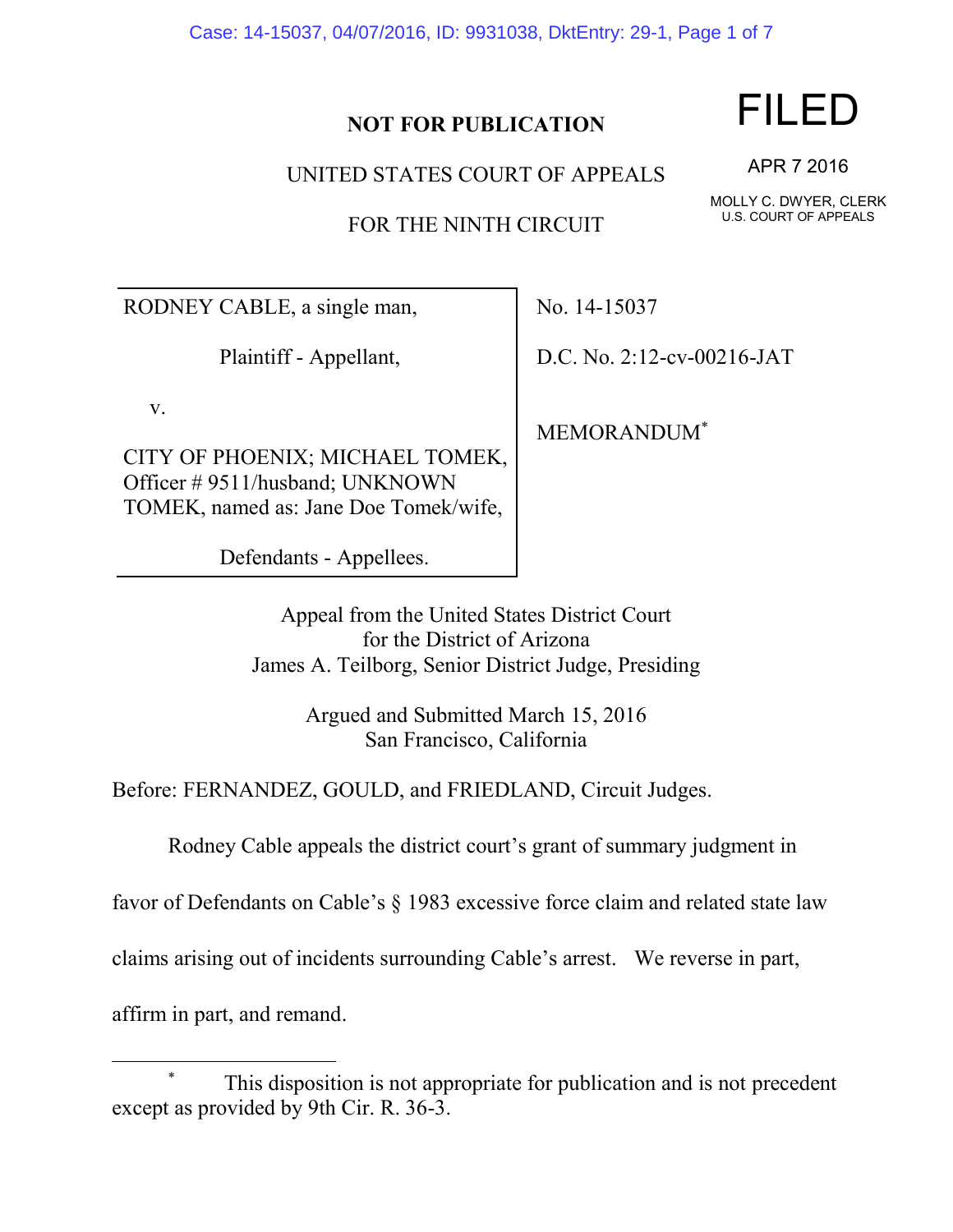Case: 14-15037, 04/07/2016, ID: 9931038, DktEntry: 29-1, Page 1 of 7

## **NOT FOR PUBLICATION**

UNITED STATES COURT OF APPEALS

FOR THE NINTH CIRCUIT

RODNEY CABLE, a single man,

Plaintiff - Appellant,

v.

CITY OF PHOENIX; MICHAEL TOMEK, Officer # 9511/husband; UNKNOWN TOMEK, named as: Jane Doe Tomek/wife,

Defendants - Appellees.

No. 14-15037

D.C. No. 2:12-cv-00216-JAT

MEMORANDUM\*

Appeal from the United States District Court for the District of Arizona James A. Teilborg, Senior District Judge, Presiding

> Argued and Submitted March 15, 2016 San Francisco, California

Before: FERNANDEZ, GOULD, and FRIEDLAND, Circuit Judges.

Rodney Cable appeals the district court's grant of summary judgment in

favor of Defendants on Cable's § 1983 excessive force claim and related state law

claims arising out of incidents surrounding Cable's arrest. We reverse in part,

affirm in part, and remand.

 $\overline{\phantom{a}}$ 

FILED

APR 7 2016

MOLLY C. DWYER, CLERK U.S. COURT OF APPEALS

This disposition is not appropriate for publication and is not precedent except as provided by 9th Cir. R. 36-3.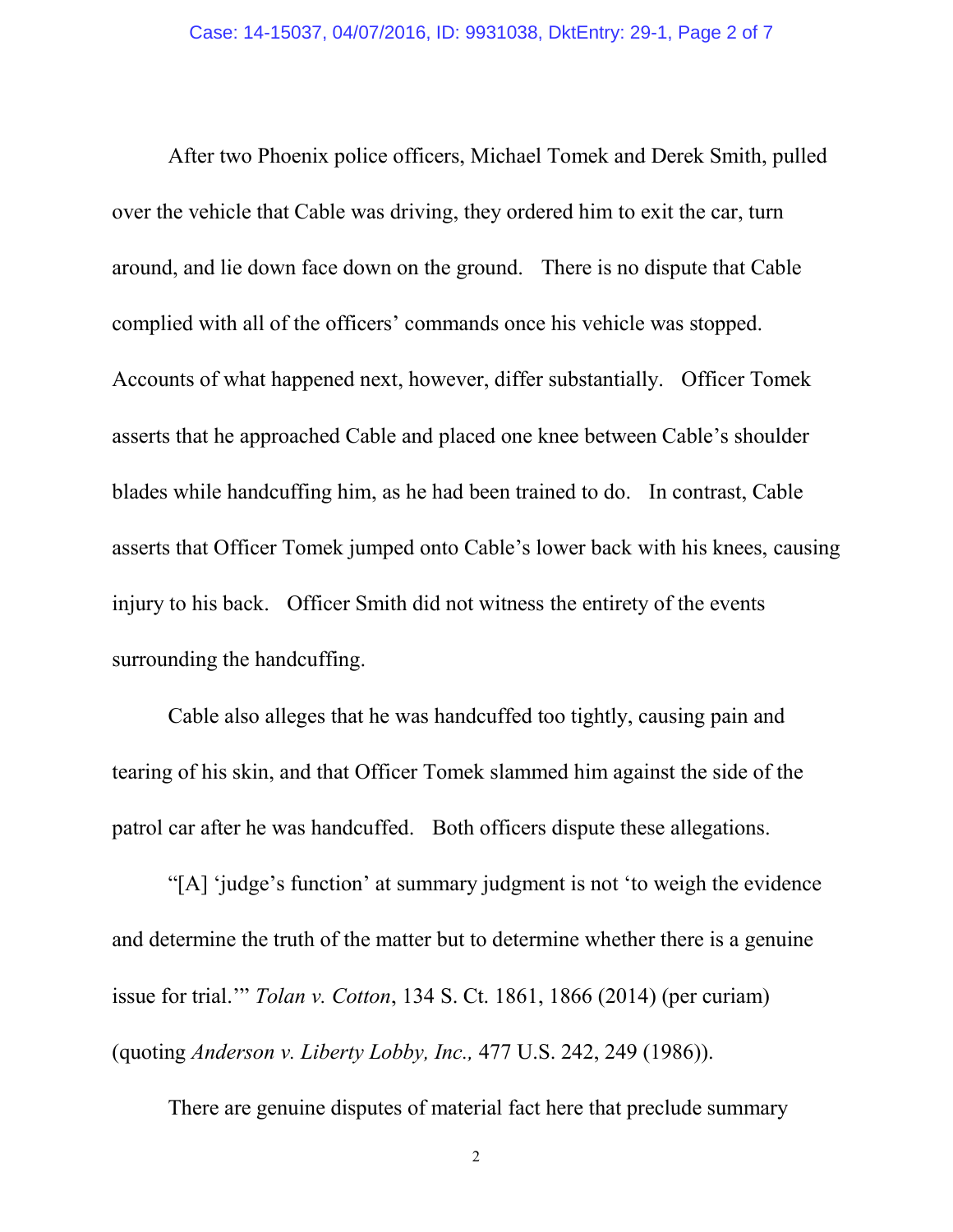After two Phoenix police officers, Michael Tomek and Derek Smith, pulled over the vehicle that Cable was driving, they ordered him to exit the car, turn around, and lie down face down on the ground. There is no dispute that Cable complied with all of the officers' commands once his vehicle was stopped. Accounts of what happened next, however, differ substantially. Officer Tomek asserts that he approached Cable and placed one knee between Cable's shoulder blades while handcuffing him, as he had been trained to do. In contrast, Cable asserts that Officer Tomek jumped onto Cable's lower back with his knees, causing injury to his back. Officer Smith did not witness the entirety of the events surrounding the handcuffing.

Cable also alleges that he was handcuffed too tightly, causing pain and tearing of his skin, and that Officer Tomek slammed him against the side of the patrol car after he was handcuffed. Both officers dispute these allegations.

"[A] 'judge's function' at summary judgment is not 'to weigh the evidence and determine the truth of the matter but to determine whether there is a genuine issue for trial.'" *Tolan v. Cotton*, 134 S. Ct. 1861, 1866 (2014) (per curiam) (quoting *Anderson v. Liberty Lobby, Inc.,* 477 U.S. 242, 249 (1986)).

There are genuine disputes of material fact here that preclude summary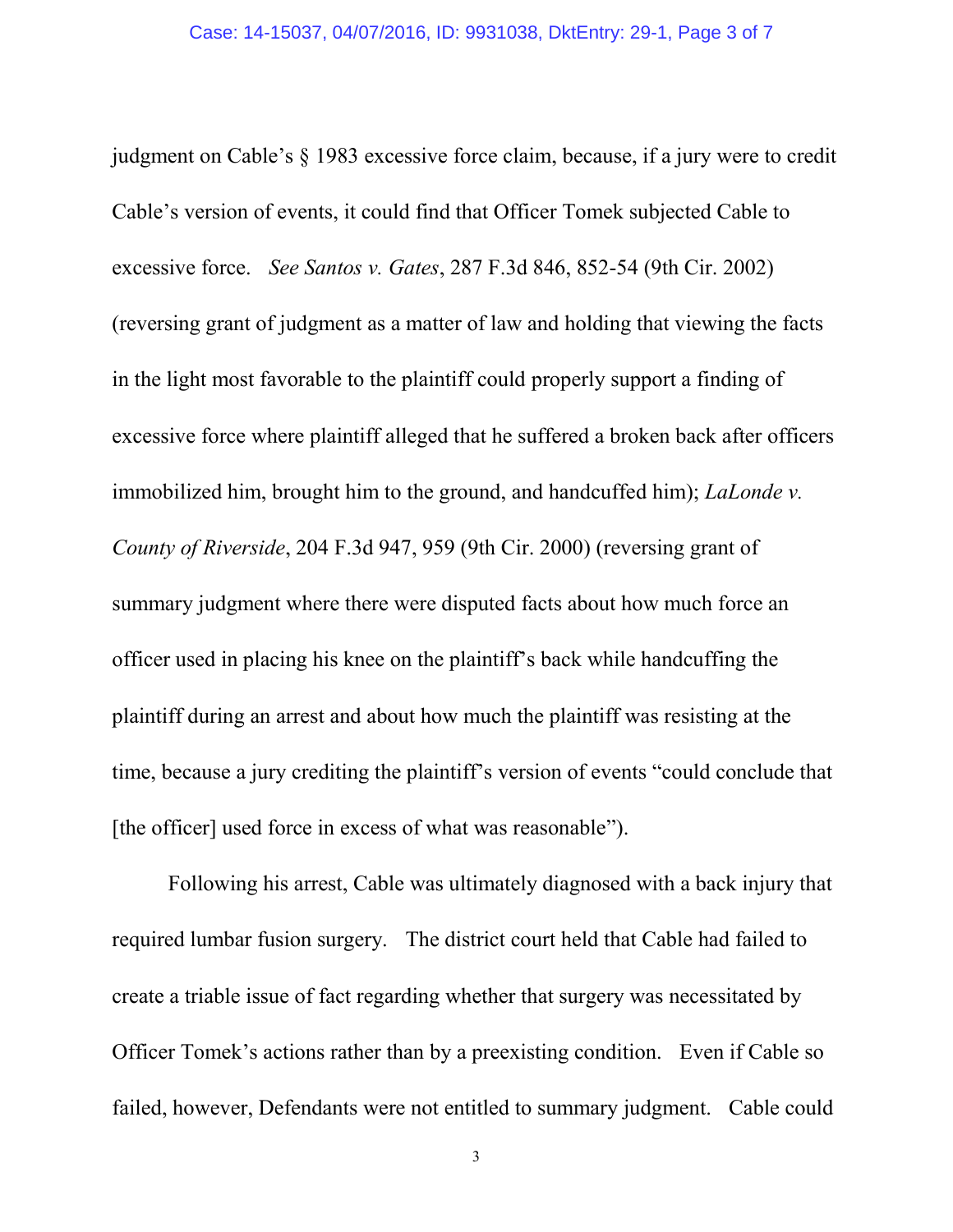judgment on Cable's § 1983 excessive force claim, because, if a jury were to credit Cable's version of events, it could find that Officer Tomek subjected Cable to excessive force. *See Santos v. Gates*, 287 F.3d 846, 852-54 (9th Cir. 2002) (reversing grant of judgment as a matter of law and holding that viewing the facts in the light most favorable to the plaintiff could properly support a finding of excessive force where plaintiff alleged that he suffered a broken back after officers immobilized him, brought him to the ground, and handcuffed him); *LaLonde v. County of Riverside*, 204 F.3d 947, 959 (9th Cir. 2000) (reversing grant of summary judgment where there were disputed facts about how much force an officer used in placing his knee on the plaintiff's back while handcuffing the plaintiff during an arrest and about how much the plaintiff was resisting at the time, because a jury crediting the plaintiff's version of events "could conclude that [the officer] used force in excess of what was reasonable").

Following his arrest, Cable was ultimately diagnosed with a back injury that required lumbar fusion surgery. The district court held that Cable had failed to create a triable issue of fact regarding whether that surgery was necessitated by Officer Tomek's actions rather than by a preexisting condition. Even if Cable so failed, however, Defendants were not entitled to summary judgment. Cable could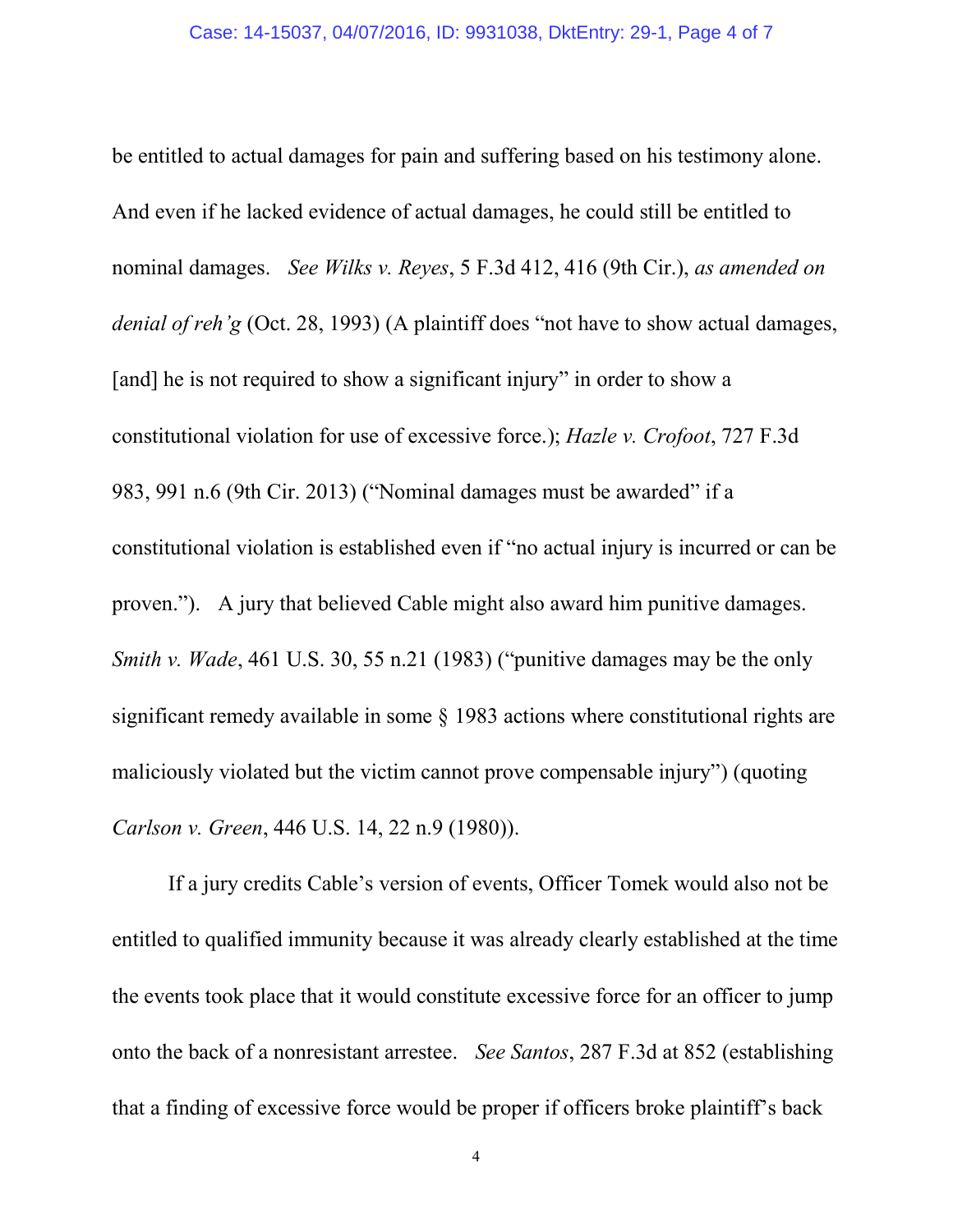be entitled to actual damages for pain and suffering based on his testimony alone. And even if he lacked evidence of actual damages, he could still be entitled to nominal damages. *See Wilks v. Reyes*, 5 F.3d 412, 416 (9th Cir.), *as amended on denial of reh'g* (Oct. 28, 1993) (A plaintiff does "not have to show actual damages, [and] he is not required to show a significant injury" in order to show a constitutional violation for use of excessive force.); *Hazle v. Crofoot*, 727 F.3d 983, 991 n.6 (9th Cir. 2013) ("Nominal damages must be awarded" if a constitutional violation is established even if "no actual injury is incurred or can be proven."). A jury that believed Cable might also award him punitive damages. *Smith v. Wade*, 461 U.S. 30, 55 n.21 (1983) ("punitive damages may be the only significant remedy available in some § 1983 actions where constitutional rights are maliciously violated but the victim cannot prove compensable injury") (quoting *Carlson v. Green*, 446 U.S. 14, 22 n.9 (1980)).

If a jury credits Cable's version of events, Officer Tomek would also not be entitled to qualified immunity because it was already clearly established at the time the events took place that it would constitute excessive force for an officer to jump onto the back of a nonresistant arrestee. *See Santos*, 287 F.3d at 852 (establishing that a finding of excessive force would be proper if officers broke plaintiff's back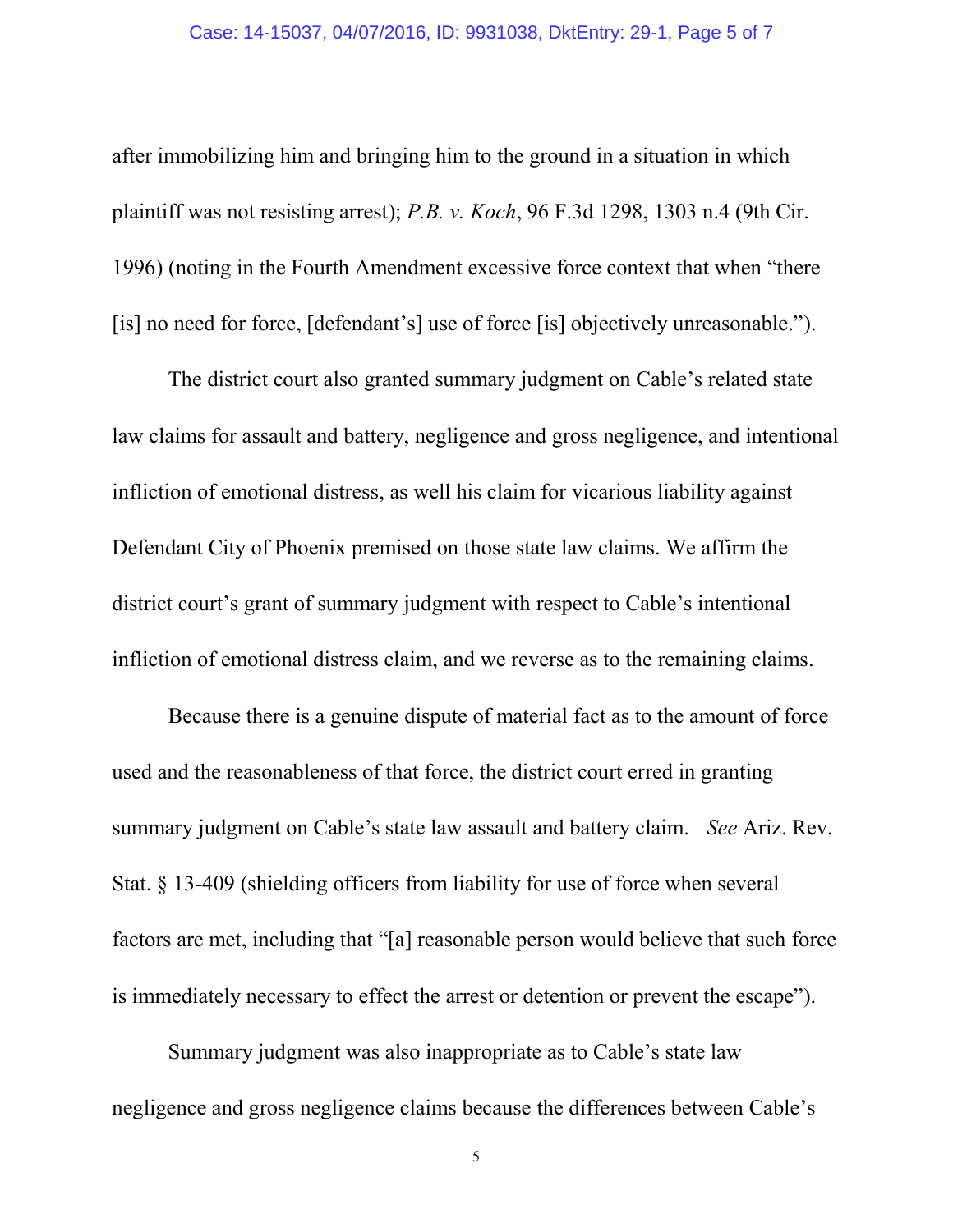after immobilizing him and bringing him to the ground in a situation in which plaintiff was not resisting arrest); *P.B. v. Koch*, 96 F.3d 1298, 1303 n.4 (9th Cir. 1996) (noting in the Fourth Amendment excessive force context that when "there [is] no need for force, [defendant's] use of force [is] objectively unreasonable.").

The district court also granted summary judgment on Cable's related state law claims for assault and battery, negligence and gross negligence, and intentional infliction of emotional distress, as well his claim for vicarious liability against Defendant City of Phoenix premised on those state law claims. We affirm the district court's grant of summary judgment with respect to Cable's intentional infliction of emotional distress claim, and we reverse as to the remaining claims.

Because there is a genuine dispute of material fact as to the amount of force used and the reasonableness of that force, the district court erred in granting summary judgment on Cable's state law assault and battery claim. *See* Ariz. Rev. Stat. § 13-409 (shielding officers from liability for use of force when several factors are met, including that "[a] reasonable person would believe that such force is immediately necessary to effect the arrest or detention or prevent the escape").

Summary judgment was also inappropriate as to Cable's state law negligence and gross negligence claims because the differences between Cable's

5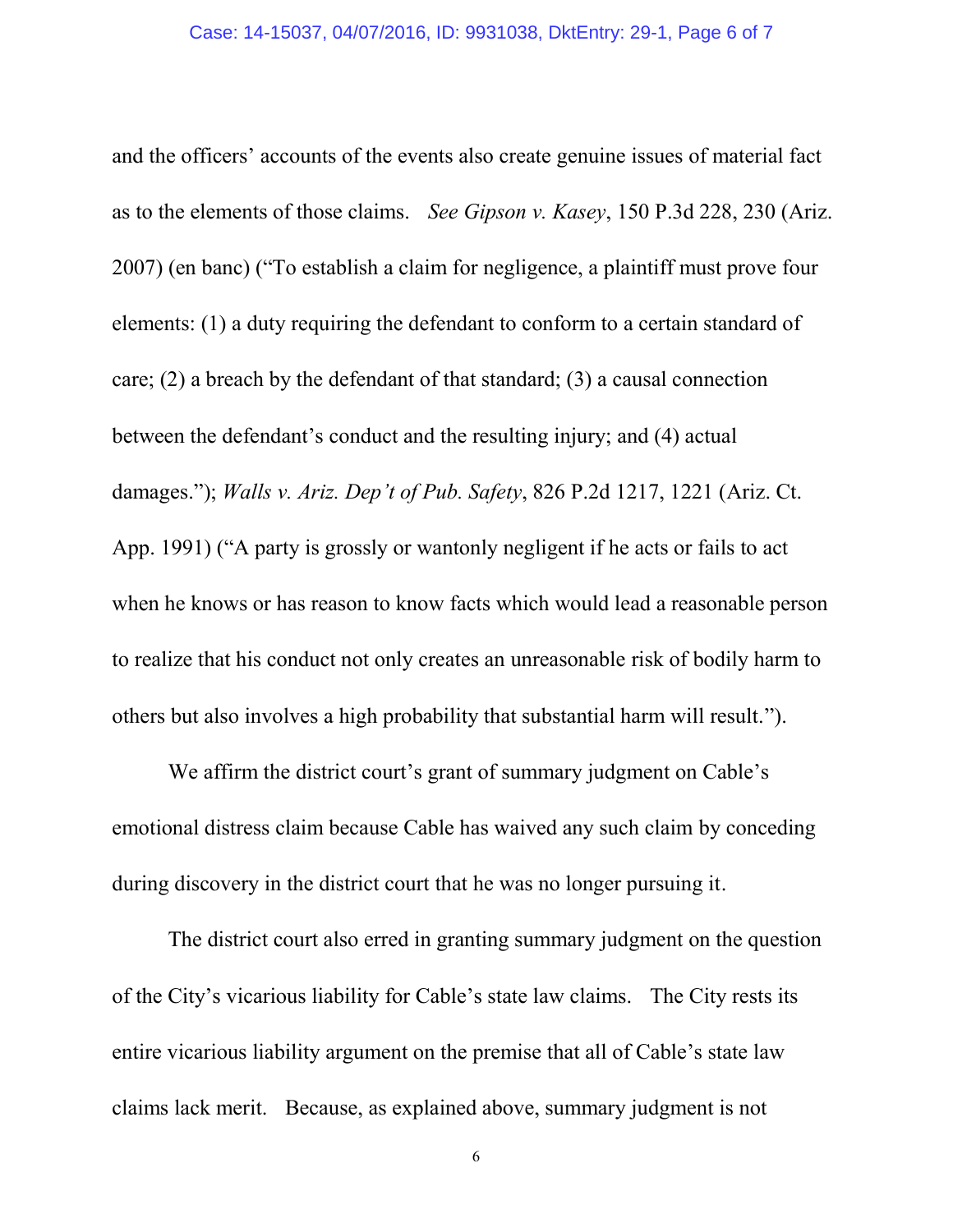and the officers' accounts of the events also create genuine issues of material fact as to the elements of those claims. *See Gipson v. Kasey*, 150 P.3d 228, 230 (Ariz. 2007) (en banc) ("To establish a claim for negligence, a plaintiff must prove four elements: (1) a duty requiring the defendant to conform to a certain standard of care; (2) a breach by the defendant of that standard; (3) a causal connection between the defendant's conduct and the resulting injury; and (4) actual damages."); *Walls v. Ariz. Dep't of Pub. Safety*, 826 P.2d 1217, 1221 (Ariz. Ct. App. 1991) ("A party is grossly or wantonly negligent if he acts or fails to act when he knows or has reason to know facts which would lead a reasonable person to realize that his conduct not only creates an unreasonable risk of bodily harm to others but also involves a high probability that substantial harm will result.").

We affirm the district court's grant of summary judgment on Cable's emotional distress claim because Cable has waived any such claim by conceding during discovery in the district court that he was no longer pursuing it.

The district court also erred in granting summary judgment on the question of the City's vicarious liability for Cable's state law claims. The City rests its entire vicarious liability argument on the premise that all of Cable's state law claims lack merit. Because, as explained above, summary judgment is not